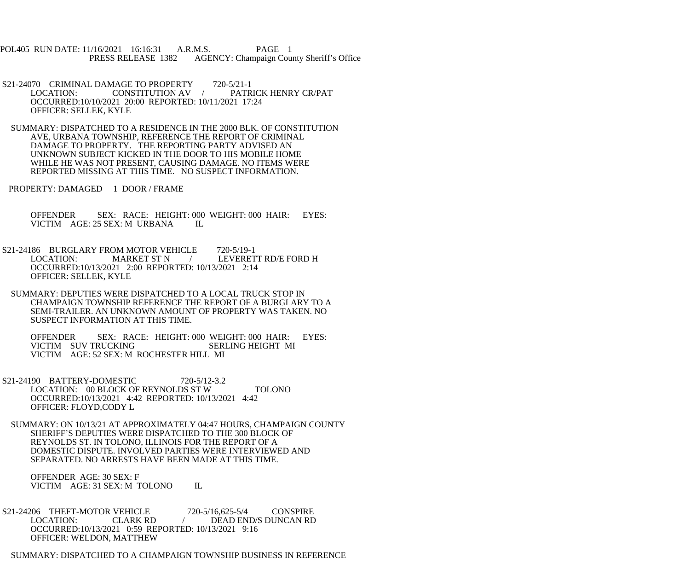POL405 RUN DATE: 11/16/2021 16:16:31 A.R.M.S. PAGE 1 PRESS RELEASE 1382 AGENCY: Champaign County Sheriff's Office

- S21-24070 CRIMINAL DAMAGE TO PROPERTY 720-5/21-1<br>LOCATION: CONSTITUTION AV / PATR LOCATION: CONSTITUTION AV / PATRICK HENRY CR/PAT OCCURRED:10/10/2021 20:00 REPORTED: 10/11/2021 17:24 OFFICER: SELLEK, KYLE
- SUMMARY: DISPATCHED TO A RESIDENCE IN THE 2000 BLK. OF CONSTITUTION AVE, URBANA TOWNSHIP, REFERENCE THE REPORT OF CRIMINAL DAMAGE TO PROPERTY. THE REPORTING PARTY ADVISED AN UNKNOWN SUBJECT KICKED IN THE DOOR TO HIS MOBILE HOME WHILE HE WAS NOT PRESENT, CAUSING DAMAGE. NO ITEMS WERE REPORTED MISSING AT THIS TIME. NO SUSPECT INFORMATION.
- PROPERTY: DAMAGED 1 DOOR / FRAME

 OFFENDER SEX: RACE: HEIGHT: 000 WEIGHT: 000 HAIR: EYES: VICTIM AGE: 25 SEX: M URBANA IL

- S21-24186 BURGLARY FROM MOTOR VEHICLE 720-5/19-1 LOCATION: MARKET ST N / LEVERETT RD/E FORD H OCCURRED:10/13/2021 2:00 REPORTED: 10/13/2021 2:14 OFFICER: SELLEK, KYLE
- SUMMARY: DEPUTIES WERE DISPATCHED TO A LOCAL TRUCK STOP IN CHAMPAIGN TOWNSHIP REFERENCE THE REPORT OF A BURGLARY TO A SEMI-TRAILER. AN UNKNOWN AMOUNT OF PROPERTY WAS TAKEN. NO SUSPECT INFORMATION AT THIS TIME.

 OFFENDER SEX: RACE: HEIGHT: 000 WEIGHT: 000 HAIR: EYES: VICTIM SUV TRUCKING SERLING HEIGHT MI VICTIM AGE: 52 SEX: M ROCHESTER HILL MI

- S21-24190 BATTERY-DOMESTIC 720-5/12-3.2 LOCATION: 00 BLOCK OF REYNOLDS ST W TOLONO OCCURRED:10/13/2021 4:42 REPORTED: 10/13/2021 4:42 OFFICER: FLOYD,CODY L
- SUMMARY: ON 10/13/21 AT APPROXIMATELY 04:47 HOURS, CHAMPAIGN COUNTY SHERIFF'S DEPUTIES WERE DISPATCHED TO THE 300 BLOCK OF REYNOLDS ST. IN TOLONO, ILLINOIS FOR THE REPORT OF A DOMESTIC DISPUTE. INVOLVED PARTIES WERE INTERVIEWED AND SEPARATED. NO ARRESTS HAVE BEEN MADE AT THIS TIME.

 OFFENDER AGE: 30 SEX: F VICTIM AGE: 31 SEX: M TOLONO IL

- S21-24206 THEFT-MOTOR VEHICLE 720-5/16,625-5/4 CONSPIRE<br>LOCATION: CLARK RD / DEAD END/S DUNCAN RD LOCATION: CLARK RD / DEAD END/S DUNCAN RD OCCURRED:10/13/2021 0:59 REPORTED: 10/13/2021 9:16 OFFICER: WELDON, MATTHEW
- SUMMARY: DISPATCHED TO A CHAMPAIGN TOWNSHIP BUSINESS IN REFERENCE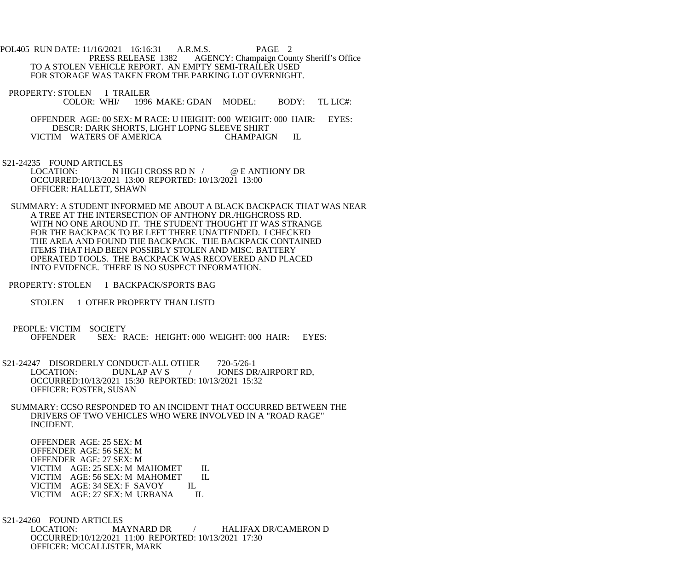POL405 RUN DATE: 11/16/2021 16:16:31 A.R.M.S. PAGE 2<br>PRESS RELEASE 1382 AGENCY: Champaign Cou AGENCY: Champaign County Sheriff's Office TO A STOLEN VEHICLE REPORT. AN EMPTY SEMI-TRAILER USED FOR STORAGE WAS TAKEN FROM THE PARKING LOT OVERNIGHT.

PROPERTY: STOLEN 1 TRAILER<br>COLOR: WHI/ 1996 1996 MAKE: GDAN MODEL: BODY: TL LIC#:

 OFFENDER AGE: 00 SEX: M RACE: U HEIGHT: 000 WEIGHT: 000 HAIR: EYES: DESCR: DARK SHORTS, LIGHT LOPNG SLEEVE SHIRT VICTIM WATERS OF AMERICA CHAMPAIGN IL

S21-24235 FOUND ARTICLES<br>LOCATION: N I N HIGH CROSS RD N / @ E ANTHONY DR OCCURRED:10/13/2021 13:00 REPORTED: 10/13/2021 13:00 OFFICER: HALLETT, SHAWN

 SUMMARY: A STUDENT INFORMED ME ABOUT A BLACK BACKPACK THAT WAS NEAR A TREE AT THE INTERSECTION OF ANTHONY DR./HIGHCROSS RD. WITH NO ONE AROUND IT. THE STUDENT THOUGHT IT WAS STRANGE FOR THE BACKPACK TO BE LEFT THERE UNATTENDED. I CHECKED THE AREA AND FOUND THE BACKPACK. THE BACKPACK CONTAINED ITEMS THAT HAD BEEN POSSIBLY STOLEN AND MISC. BATTERY OPERATED TOOLS. THE BACKPACK WAS RECOVERED AND PLACED INTO EVIDENCE. THERE IS NO SUSPECT INFORMATION.

PROPERTY: STOLEN 1 BACKPACK/SPORTS BAG

STOLEN 1 OTHER PROPERTY THAN LISTD

PEOPLE: VICTIM SOCIETY<br>OFFENDER SEX: R SEX: RACE: HEIGHT: 000 WEIGHT: 000 HAIR: EYES:

S21-24247 DISORDERLY CONDUCT-ALL OTHER 720-5/26-1<br>LOCATION: DUNLAP AV S / JONES DF / JONES DR/AIRPORT RD, OCCURRED:10/13/2021 15:30 REPORTED: 10/13/2021 15:32 OFFICER: FOSTER, SUSAN

 SUMMARY: CCSO RESPONDED TO AN INCIDENT THAT OCCURRED BETWEEN THE DRIVERS OF TWO VEHICLES WHO WERE INVOLVED IN A "ROAD RAGE" INCIDENT.

 OFFENDER AGE: 25 SEX: M OFFENDER AGE: 56 SEX: M OFFENDER AGE: 27 SEX: M VICTIM AGE: 25 SEX: M MAHOMET IL<br>VICTIM AGE: 56 SEX: M MAHOMET IL VICTIM AGE: 56 SEX: M MAHOMET VICTIM AGE: 34 SEX: F SAVOY IL VICTIM AGE: 27 SEX: M URBANA IL

S21-24260 FOUND ARTICLES<br>LOCATION: MA MAYNARD DR / HALIFAX DR/CAMERON D OCCURRED:10/12/2021 11:00 REPORTED: 10/13/2021 17:30 OFFICER: MCCALLISTER, MARK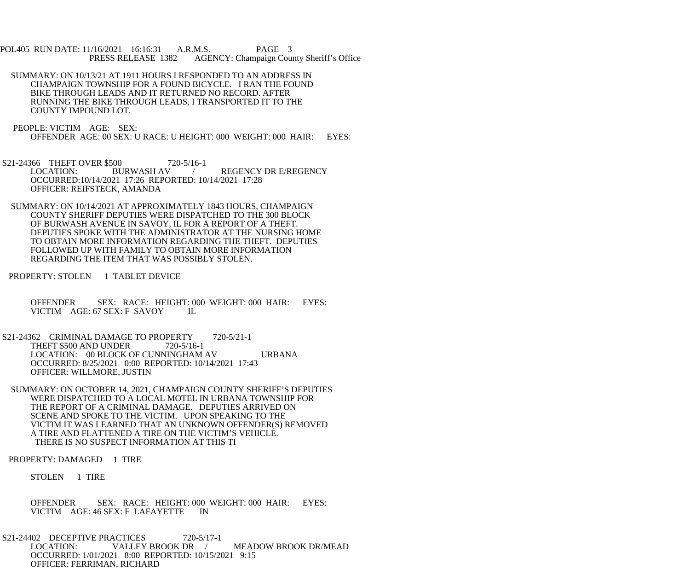POL405 RUN DATE: 11/16/2021 16:16:31 A.R.M.S. PAGE 3<br>PRESS RELEASE 1382 AGENCY: Champaign Cou AGENCY: Champaign County Sheriff's Office

- SUMMARY: ON 10/13/21 AT 1911 HOURS I RESPONDED TO AN ADDRESS IN CHAMPAIGN TOWNSHIP FOR A FOUND BICYCLE. I RAN THE FOUND BIKE THROUGH LEADS AND IT RETURNED NO RECORD. AFTER RUNNING THE BIKE THROUGH LEADS, I TRANSPORTED IT TO THE COUNTY IMPOUND LOT.
- PEOPLE: VICTIM AGE: SEX: OFFENDER AGE: 00 SEX: U RACE: U HEIGHT: 000 WEIGHT: 000 HAIR: EYES:
- S21-24366 THEFT OVER \$500 720-5/16-1<br>LOCATION: BURWASH AV / REGENCY DR E/REGENCY OCCURRED:10/14/2021 17:26 REPORTED: 10/14/2021 17:28 OFFICER: REIFSTECK, AMANDA
- SUMMARY: ON 10/14/2021 AT APPROXIMATELY 1843 HOURS, CHAMPAIGN COUNTY SHERIFF DEPUTIES WERE DISPATCHED TO THE 300 BLOCK OF BURWASH AVENUE IN SAVOY, IL FOR A REPORT OF A THEFT. DEPUTIES SPOKE WITH THE ADMINISTRATOR AT THE NURSING HOME TO OBTAIN MORE INFORMATION REGARDING THE THEFT. DEPUTIES FOLLOWED UP WITH FAMILY TO OBTAIN MORE INFORMATION REGARDING THE ITEM THAT WAS POSSIBLY STOLEN.
- PROPERTY: STOLEN 1 TABLET DEVICE
	- OFFENDER SEX: RACE: HEIGHT: 000 WEIGHT: 000 HAIR: EYES: VICTIM AGE: 67 SEX: F SAVOY IL
- S21-24362 CRIMINAL DAMAGE TO PROPERTY 720-5/21-1 THEFT \$500 AND UNDER 720-5/16-1 LOCATION: 00 BLOCK OF CUNNINGHAM AV URBANA OCCURRED: 8/25/2021 0:00 REPORTED: 10/14/2021 17:43 OFFICER: WILLMORE, JUSTIN
- SUMMARY: ON OCTOBER 14, 2021, CHAMPAIGN COUNTY SHERIFF'S DEPUTIES WERE DISPATCHED TO A LOCAL MOTEL IN URBANA TOWNSHIP FOR THE REPORT OF A CRIMINAL DAMAGE. DEPUTIES ARRIVED ON SCENE AND SPOKE TO THE VICTIM. UPON SPEAKING TO THE VICTIM IT WAS LEARNED THAT AN UNKNOWN OFFENDER(S) REMOVED A TIRE AND FLATTENED A TIRE ON THE VICTIM'S VEHICLE. THERE IS NO SUSPECT INFORMATION AT THIS TI
- PROPERTY: DAMAGED 1 TIRE
	- STOLEN 1 TIRE
	- OFFENDER SEX: RACE: HEIGHT: 000 WEIGHT: 000 HAIR: EYES: VICTIM AGE: 46 SEX: F LAFAYETTE IN
- S21-24402 DECEPTIVE PRACTICES 720-5/17-1<br>LOCATION: VALLEY BROOK DR LOCATION: VALLEY BROOK DR / MEADOW BROOK DR/MEAD OCCURRED: 1/01/2021 8:00 REPORTED: 10/15/2021 9:15 OFFICER: FERRIMAN, RICHARD